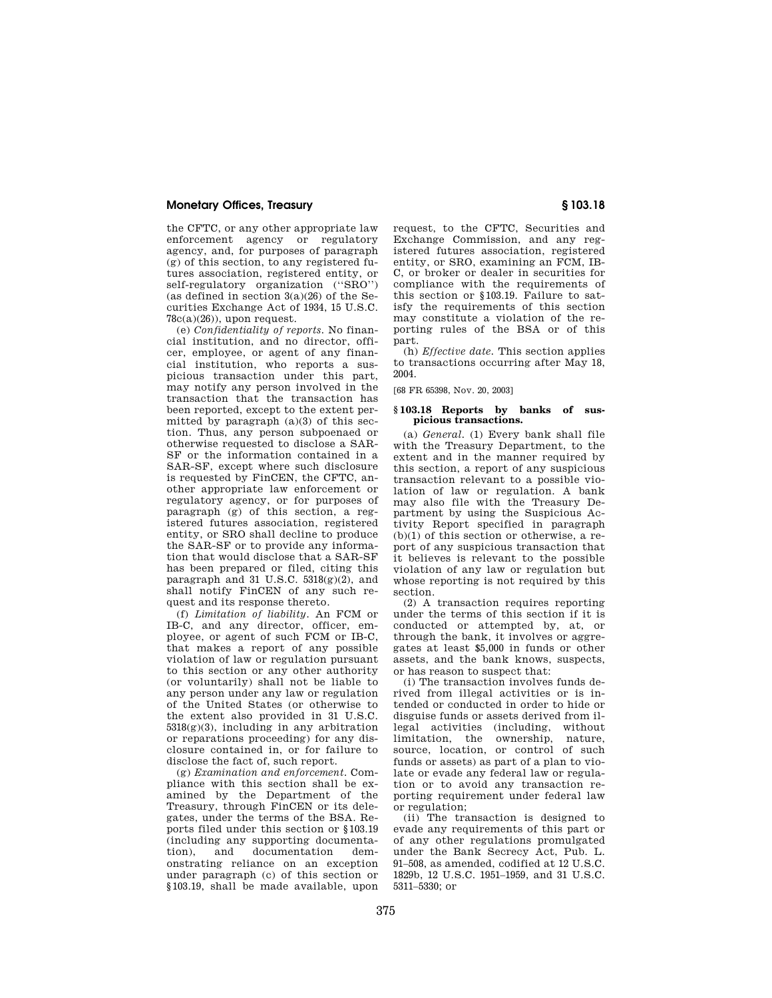## **Monetary Offices, Treasury § 103.18**

the CFTC, or any other appropriate law enforcement agency or regulatory agency, and, for purposes of paragraph (g) of this section, to any registered futures association, registered entity, or self-regulatory organization ("SRO") (as defined in section  $3(a)(26)$  of the Securities Exchange Act of 1934, 15 U.S.C.  $78c(a)(26)$ , upon request.

(e) *Confidentiality of reports.* No financial institution, and no director, officer, employee, or agent of any financial institution, who reports a suspicious transaction under this part, may notify any person involved in the transaction that the transaction has been reported, except to the extent permitted by paragraph (a)(3) of this section. Thus, any person subpoenaed or otherwise requested to disclose a SAR-SF or the information contained in a SAR-SF, except where such disclosure is requested by FinCEN, the CFTC, another appropriate law enforcement or regulatory agency, or for purposes of paragraph (g) of this section, a registered futures association, registered entity, or SRO shall decline to produce the SAR-SF or to provide any information that would disclose that a SAR-SF has been prepared or filed, citing this paragraph and 31 U.S.C.  $5318(g)(2)$ , and shall notify FinCEN of any such request and its response thereto.

(f) *Limitation of liability.* An FCM or IB-C, and any director, officer, employee, or agent of such FCM or IB-C, that makes a report of any possible violation of law or regulation pursuant to this section or any other authority (or voluntarily) shall not be liable to any person under any law or regulation of the United States (or otherwise to the extent also provided in 31 U.S.C.  $5318(g)(3)$ , including in any arbitration or reparations proceeding) for any disclosure contained in, or for failure to disclose the fact of, such report.

(g) *Examination and enforcement.* Compliance with this section shall be examined by the Department of the Treasury, through FinCEN or its delegates, under the terms of the BSA. Reports filed under this section or §103.19 (including any supporting documenta-<br>tion), and documentation demdocumentation onstrating reliance on an exception under paragraph (c) of this section or §103.19, shall be made available, upon request, to the CFTC, Securities and Exchange Commission, and any registered futures association, registered entity, or SRO, examining an FCM, IB-C, or broker or dealer in securities for compliance with the requirements of this section or §103.19. Failure to satisfy the requirements of this section may constitute a violation of the reporting rules of the BSA or of this part.

(h) *Effective date.* This section applies to transactions occurring after May 18, 2004.

[68 FR 65398, Nov. 20, 2003]

## **§ 103.18 Reports by banks of suspicious transactions.**

(a) *General.* (1) Every bank shall file with the Treasury Department, to the extent and in the manner required by this section, a report of any suspicious transaction relevant to a possible violation of law or regulation. A bank may also file with the Treasury Department by using the Suspicious Activity Report specified in paragraph  $(b)(1)$  of this section or otherwise, a report of any suspicious transaction that it believes is relevant to the possible violation of any law or regulation but whose reporting is not required by this section.

(2) A transaction requires reporting under the terms of this section if it is conducted or attempted by, at, or through the bank, it involves or aggregates at least \$5,000 in funds or other assets, and the bank knows, suspects, or has reason to suspect that:

(i) The transaction involves funds derived from illegal activities or is intended or conducted in order to hide or disguise funds or assets derived from illegal activities (including, without limitation, the ownership, nature, source, location, or control of such funds or assets) as part of a plan to violate or evade any federal law or regulation or to avoid any transaction reporting requirement under federal law or regulation;

(ii) The transaction is designed to evade any requirements of this part or of any other regulations promulgated under the Bank Secrecy Act, Pub. L. 91–508, as amended, codified at 12 U.S.C. 1829b, 12 U.S.C. 1951–1959, and 31 U.S.C. 5311–5330; or